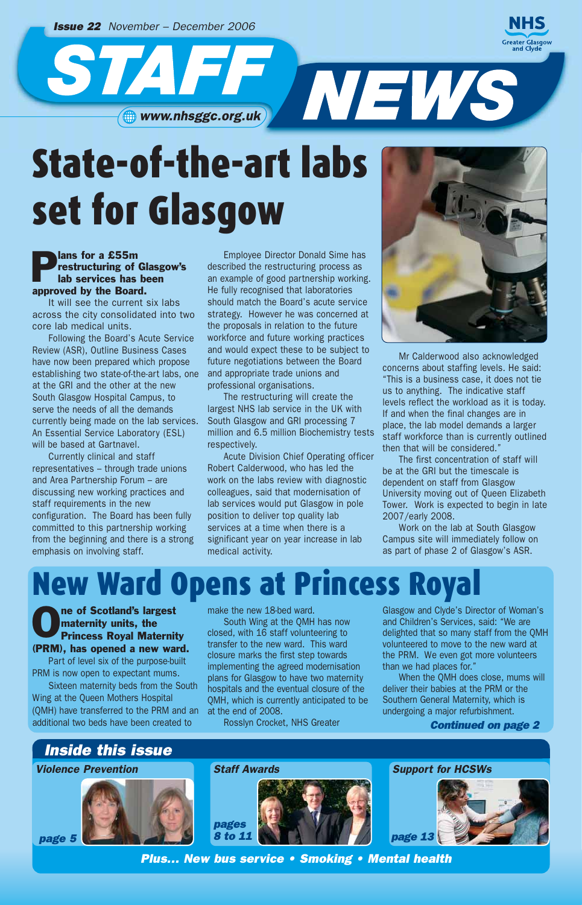*Issue 22 November – December 2006*

STAF NEWS

# State-of-the-art labs set for Glasgow

#### **P**<br>**P** restructuring of<br>lab services has restructuring of Glasgow's lab services has been approved by the Board.

It will see the current six labs across the city consolidated into two core lab medical units.

Following the Board's Acute Service Review (ASR), Outline Business Cases have now been prepared which propose establishing two state-of-the-art labs, one at the GRI and the other at the new South Glasgow Hospital Campus, to serve the needs of all the demands currently being made on the lab services. An Essential Service Laboratory (ESL) will be based at Gartnavel.

Currently clinical and staff representatives – through trade unions and Area Partnership Forum – are discussing new working practices and staff requirements in the new configuration. The Board has been fully committed to this partnership working from the beginning and there is a strong emphasis on involving staff.

Employee Director Donald Sime has described the restructuring process as an example of good partnership working. He fully recognised that laboratories should match the Board's acute service strategy. However he was concerned at the proposals in relation to the future workforce and future working practices and would expect these to be subject to future negotiations between the Board and appropriate trade unions and professional organisations.

The restructuring will create the largest NHS lab service in the UK with South Glasgow and GRI processing 7 million and 6.5 million Biochemistry tests respectively.

Acute Division Chief Operating officer Robert Calderwood, who has led the work on the labs review with diagnostic colleagues, said that modernisation of lab services would put Glasgow in pole position to deliver top quality lab services at a time when there is a significant year on year increase in lab medical activity.



Mr Calderwood also acknowledged concerns about staffing levels. He said: "This is a business case, it does not tie us to anything. The indicative staff levels reflect the workload as it is today. If and when the final changes are in place, the lab model demands a larger staff workforce than is currently outlined then that will be considered."

The first concentration of staff will be at the GRI but the timescale is dependent on staff from Glasgow University moving out of Queen Elizabeth Tower. Work is expected to begin in late 2007/early 2008.

Work on the lab at South Glasgow Campus site will immediately follow on as part of phase 2 of Glasgow's ASR.

### **New Ward Opens at Princess**

**ORIGINARY STATES CONFIDENTITY STATES ROYAL MATERIES**<br> **CONFIDENCES ROYAL MATERIES** maternity units, the (PRM), has opened a new ward.

Part of level six of the purpose-built PRM is now open to expectant mums.

Sixteen maternity beds from the South Wing at the Queen Mothers Hospital (QMH) have transferred to the PRM and an additional two beds have been created to

make the new 18-bed ward.

South Wing at the QMH has now closed, with 16 staff volunteering to transfer to the new ward. This ward closure marks the first step towards implementing the agreed modernisation plans for Glasgow to have two maternity hospitals and the eventual closure of the QMH, which is currently anticipated to be at the end of 2008.

Rosslyn Crocket, NHS Greater

Glasgow and Clyde's Director of Woman's and Children's Services, said: "We are delighted that so many staff from the QMH volunteered to move to the new ward at the PRM. We even got more volunteers than we had places for."

When the QMH does close, mums will deliver their babies at the PRM or the Southern General Maternity, which is undergoing a major refurbishment.

*Continued on page 2*







*Support for HCSWs*



*Plus… New bus service • Smoking • Mental health*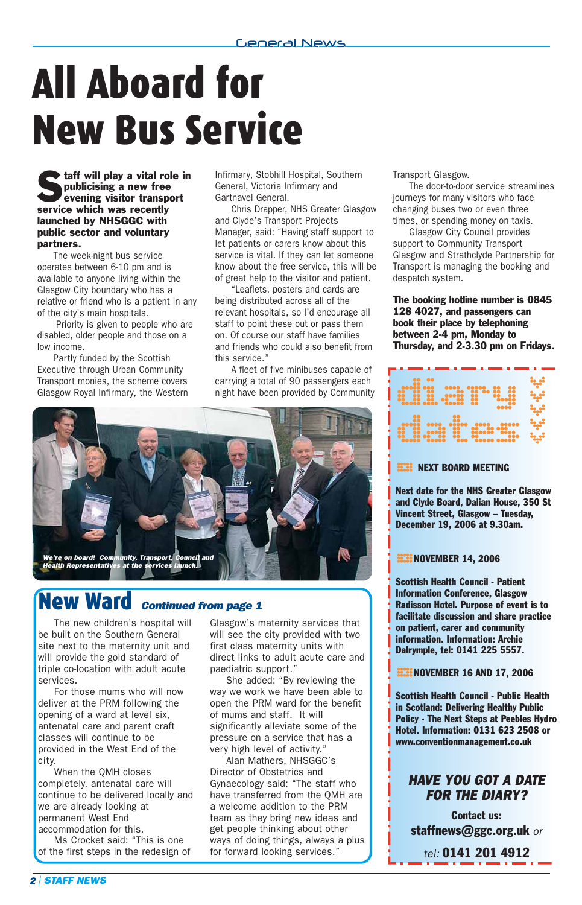# All Aboard for New Bus Service

**Staff will play a vital role in**<br> **Starff will play a new free**<br> **Starff will play a rew free**<br> **Starff will play a rew free** publicising a new free service which was recently launched by NHSGGC with public sector and voluntary partners.

The week-night bus service operates between 6-10 pm and is available to anyone living within the Glasgow City boundary who has a relative or friend who is a patient in any of the city's main hospitals.

Priority is given to people who are disabled, older people and those on a low income.

Partly funded by the Scottish Executive through Urban Community Transport monies, the scheme covers Glasgow Royal Infirmary, the Western

Infirmary, Stobhill Hospital, Southern General, Victoria Infirmary and Gartnavel General.

Chris Drapper, NHS Greater Glasgow and Clyde's Transport Projects Manager, said: "Having staff support to let patients or carers know about this service is vital. If they can let someone know about the free service, this will be of great help to the visitor and patient.

"Leaflets, posters and cards are being distributed across all of the relevant hospitals, so I'd encourage all staff to point these out or pass them on. Of course our staff have families and friends who could also benefit from this service."

A fleet of five minibuses capable of carr ying a total of 90 passengers each night have been provided by Community



### New Ward *Continued from page 1*

The new children's hospital will be built on the Southern General site next to the maternity unit and will provide the gold standard of triple co-location with adult acute services.

For those mums who will now deliver at the PRM following the opening of a ward at level six, antenatal care and parent craft classes will continue to be provided in the West End of the city.

When the QMH closes completely, antenatal care will continue to be delivered locally and we are already looking at permanent West End accommodation for this.

Ms Crocket said: "This is one of the first steps in the redesign of Glasgow's maternity services that will see the city provided with two first class maternity units with direct links to adult acute care and paediatric support."

She added: "By reviewing the way we work we have been able to open the PRM ward for the benefit of mums and staff. It will significantly alleviate some of the pressure on a service that has a very high level of activity."

Alan Mathers, NHSGGC's Director of Obstetrics and Gynaecology said: "The staff who have transferred from the QMH are a welcome addition to the PRM team as they bring new ideas and get people thinking about other ways of doing things, always a plus for forward looking services."

Transport Glasgow.

The door-to-door service streamlines journeys for many visitors who face changing buses two or even three times, or spending money on taxis.

Glasgow City Council provides support to Community Transport Glasgow and Strathclyde Partnership for Transport is managing the booking and despatch system.

#### The booking hotline number is 0845 128 4027, and passengers can book their place by telephoning between 2-4 pm, Monday to Thursday, and 2-3.30 pm on Fridays.

### diary and a dates de la constantin ابية<br>ابية<br>ابية<br>ابية

**HXII** NEXT BOARD MEETING<br>Next date for the NHS Greater Glasgow and Clyde Board, Dalian House, 350 St Vincent Street, Glasgow – Tuesday, December 19, 2006 at 9.30am.

#### **HIM NOVEMBER 14, 2006**

88.88 NOVEMBER 14, 2006<br>Scottish Health Council - Patient Information Conference, Glasgow Radisson Hotel. Purpose of event is to facilitate discussion and share practice on patient, carer and community information. Information: Archie Dalrymple, tel: 0141 225 5557.

**EEEE NOVEMBER 16 AND 17, 2006** 

° Scottish Health Council - Public Health in Scotland: Delivering Healthy Public Policy - The Next Steps at Peebles Hydro Hotel. Information: 0131 623 2508 or www.conventionmanagement.co.uk

#### *HAVE YOU GOT A DATE FOR THE DIARY?*

Contact us: staffnews@ggc.org.uk *or*

*tel:* 0141 201 4912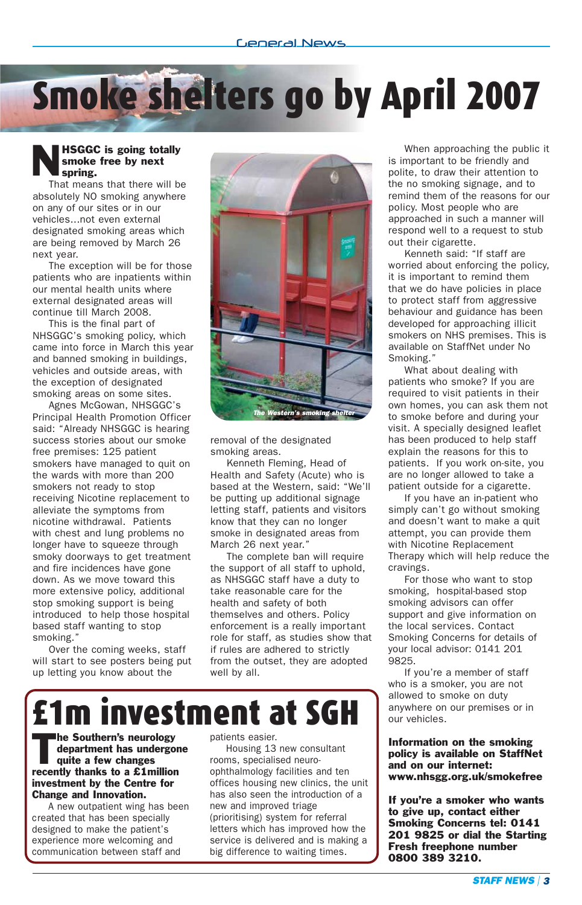# Smoke shelters go by April 2007

#### NHSGGC is going totally smoke free by next spring.

That means that there will be absolutely NO smoking anywhere on any of our sites or in our vehicles...not even external designated smoking areas which are being removed by March 26 next year.

The exception will be for those patients who are inpatients within our mental health units where external designated areas will continue till March 2008.

This is the final part of NHSGGC's smoking policy, which came into force in March this year and banned smoking in buildings, vehicles and outside areas, with the exception of designated smoking areas on some sites.

Agnes McGowan, NHSGGC's Principal Health Promotion Officer said: "Already NHSGGC is hearing success stories about our smoke free premises: 125 patient smokers have managed to quit on the wards with more than 200 smokers not ready to stop receiving Nicotine replacement to alleviate the symptoms from nicotine withdrawal. Patients with chest and lung problems no longer have to squeeze through smoky doorways to get treatment and fire incidences have gone down. As we move toward this more extensive policy, additional stop smoking support is being introduced to help those hospital based staff wanting to stop smoking."

Over the coming weeks, staff will start to see posters being put up letting you know about the



removal of the designated smoking areas.

Kenneth Fleming, Head of Health and Safety (Acute) who is based at the Western, said: "We'll be putting up additional signage letting staff, patients and visitors know that they can no longer smoke in designated areas from March 26 next year."

The complete ban will require the support of all staff to uphold, as NHSGGC staff have a duty to take reasonable care for the health and safety of both themselves and others. Policy enforcement is a really important role for staff, as studies show that if rules are adhered to strictly from the outset, they are adopted well by all.



The Southern's neurology<br>department has undergo<br>quite a few changes department has undergone quite a few changes recently thanks to a £1million investment by the Centre for Change and Innovation.

A new outpatient wing has been created that has been specially designed to make the patient's experience more welcoming and communication between staff and

patients easier.

Housing 13 new consultant rooms, specialised neuroophthalmology facilities and ten offices housing new clinics, the unit has also seen the introduction of a new and improved triage (prioritising) system for referral letters which has improved how the service is delivered and is making a big difference to waiting times.

When approaching the public it is important to be friendly and polite, to draw their attention to the no smoking signage, and to remind them of the reasons for our policy. Most people who are approached in such a manner will respond well to a request to stub out their cigarette.

Kenneth said: "If staff are worried about enforcing the policy, it is important to remind them that we do have policies in place to protect staff from aggressive behaviour and guidance has been developed for approaching illicit smokers on NHS premises. This is available on StaffNet under No Smoking."

What about dealing with patients who smoke? If you are required to visit patients in their own homes, you can ask them not to smoke before and during your visit. A specially designed leaflet has been produced to help staff explain the reasons for this to patients. If you work on-site, you are no longer allowed to take a patient outside for a cigarette.

If you have an in-patient who simply can't go without smoking and doesn't want to make a quit attempt, you can provide them with Nicotine Replacement Therapy which will help reduce the cravings.

For those who want to stop smoking, hospital-based stop smoking advisors can offer support and give information on the local services. Contact Smoking Concerns for details of your local advisor: 0141 201 9825.

If you're a member of staff who is a smoker, you are not allowed to smoke on duty anywhere on our premises or in our vehicles.

Information on the smoking policy is available on StaffNet and on our internet: www.nhsgg.org.uk/smokefree

If you're a smoker who wants to give up, contact either Smoking Concerns tel: 0141 201 9825 or dial the Starting Fresh freephone number 0800 389 3210.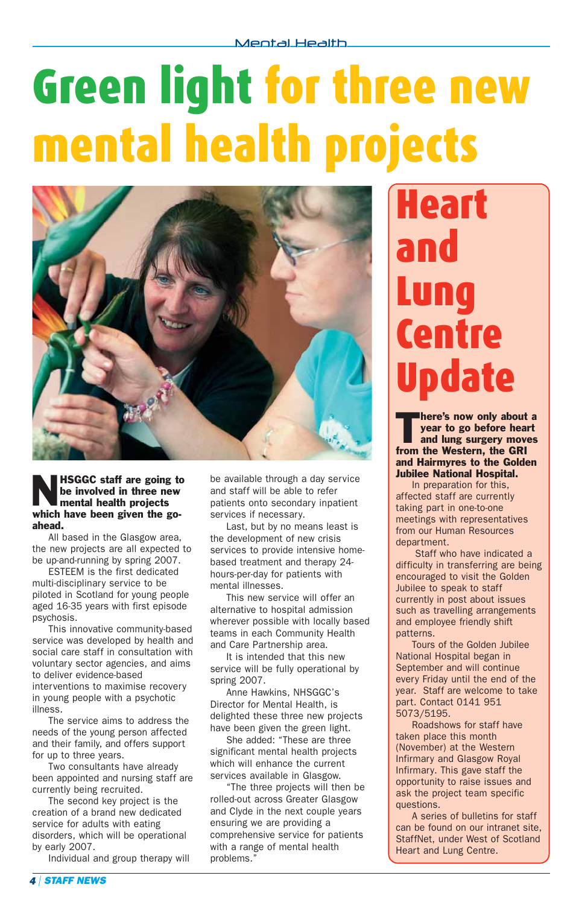# Green light for three new mental health projects



HSGGC staff are going to<br>be involved in three new<br>mental health projects be involved in three new mental health projects which have been given the goahead.

All based in the Glasgow area, the new projects are all expected to be up-and-running by spring 2007.

ESTEEM is the first dedicated multi-disciplinary service to be piloted in Scotland for young people aged 16-35 years with first episode psychosis.

This innovative community-based service was developed by health and social care staff in consultation with voluntary sector agencies, and aims to deliver evidence-based interventions to maximise recovery in young people with a psychotic illness.

The service aims to address the needs of the young person affected and their family, and offers support for up to three years.

Two consultants have already been appointed and nursing staff are currently being recruited.

The second key project is the creation of a brand new dedicated service for adults with eating disorders, which will be operational by early 2007.

Individual and group therapy will

be available through a day service and staff will be able to refer patients onto secondary inpatient services if necessary.

Last, but by no means least is the development of new crisis services to provide intensive homebased treatment and therapy 24 hours-per-day for patients with mental illnesses.

This new service will offer an alternative to hospital admission wherever possible with locally based teams in each Community Health and Care Partnership area.

It is intended that this new service will be fully operational by spring 2007.

Anne Hawkins, NHSGGC's Director for Mental Health, is delighted these three new projects have been given the green light.

She added: "These are three significant mental health projects which will enhance the current services available in Glasgow.

"The three projects will then be rolled-out across Greater Glasgow and Clyde in the next couple years ensuring we are providing a comprehensive service for patients with a range of mental health problems."

## Heart and Lung Centre date

here's now only about a<br>year to go before heart<br>and lung surgery moves year to go before heart from the Western, the GRI and Hairmyres to the Golden Jubilee National Hospital.

In preparation for this, affected staff are currently taking part in one-to-one meetings with representatives from our Human Resources department.

Staff who have indicated a difficulty in transferring are being encouraged to visit the Golden Jubilee to speak to staff currently in post about issues such as travelling arrangements and employee friendly shift patterns.

Tours of the Golden Jubilee National Hospital began in September and will continue every Friday until the end of the year. Staff are welcome to take part. Contact 0141 951 5073/5195.

Roadshows for staff have taken place this month (November) at the Western Infirmary and Glasgow Royal Infirmary. This gave staff the opportunity to raise issues and ask the project team specific questions.

A series of bulletins for staff can be found on our intranet site, StaffNet, under West of Scotland Heart and Lung Centre.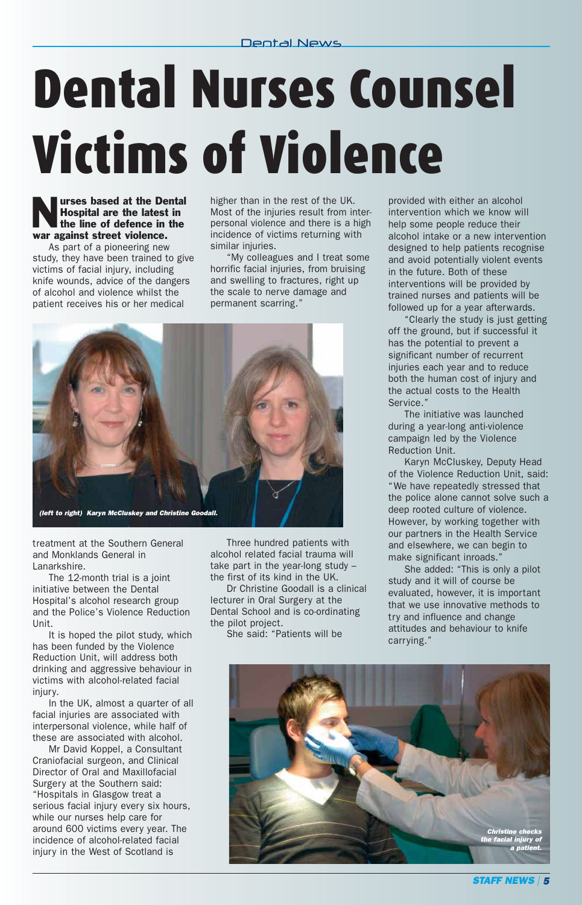# Dental Nurses Counsel Victims of Violence

#### **Nurses based at the Dental<br>Hospital are the latest in<br>the line of defence in the** Hospital are the latest in war against street violence.

As part of a pioneering new study, they have been trained to give victims of facial injury, including knife wounds, advice of the dangers of alcohol and violence whilst the patient receives his or her medical

higher than in the rest of the UK. Most of the injuries result from interpersonal violence and there is a high incidence of victims returning with similar injuries.

"My colleagues and I treat some horrific facial injuries, from bruising and swelling to fractures, right up the scale to nerve damage and permanent scarring."



treatment at the Southern General and Monklands General in Lanarkshire.

The 12-month trial is a joint initiative between the Dental Hospital's alcohol research group and the Police's Violence Reduction Unit.

It is hoped the pilot study, which has been funded by the Violence Reduction Unit, will address both drinking and aggressive behaviour in victims with alcohol-related facial iniury.

In the UK, almost a quarter of all facial injuries are associated with interpersonal violence, while half of these are associated with alcohol.

Mr David Koppel, a Consultant Craniofacial surgeon, and Clinical Director of Oral and Maxillofacial Surgery at the Southern said: "Hospitals in Glasgow treat a serious facial injury every six hours, while our nurses help care for around 600 victims every year. The incidence of alcohol-related facial injury in the West of Scotland is

Three hundred patients with alcohol related facial trauma will take part in the year-long study – the first of its kind in the UK.

Dr Christine Goodall is a clinical lecturer in Oral Surgery at the Dental School and is co-ordinating the pilot project.

She said: "Patients will be

provided with either an alcohol intervention which we know will help some people reduce their alcohol intake or a new intervention designed to help patients recognise and avoid potentially violent events in the future. Both of these interventions will be provided by trained nurses and patients will be followed up for a year afterwards.

Clearly the study is just getting off the ground, but if successful it has the potential to prevent a significant number of recurrent injuries each year and to reduce both the human cost of injury and the actual costs to the Health Service."

The initiative was launched during a year-long anti-violence campaign led by the Violence Reduction Unit.

Karyn McCluskey, Deputy Head of the Violence Reduction Unit, said: "We have repeatedly stressed that the police alone cannot solve such a deep rooted culture of violence. However, by working together with our partners in the Health Service and elsewhere, we can begin to make significant inroads."

She added: "This is only a pilot study and it will of course be evaluated, however, it is important that we use innovative methods to try and influence and change attitudes and behaviour to knife carrying."

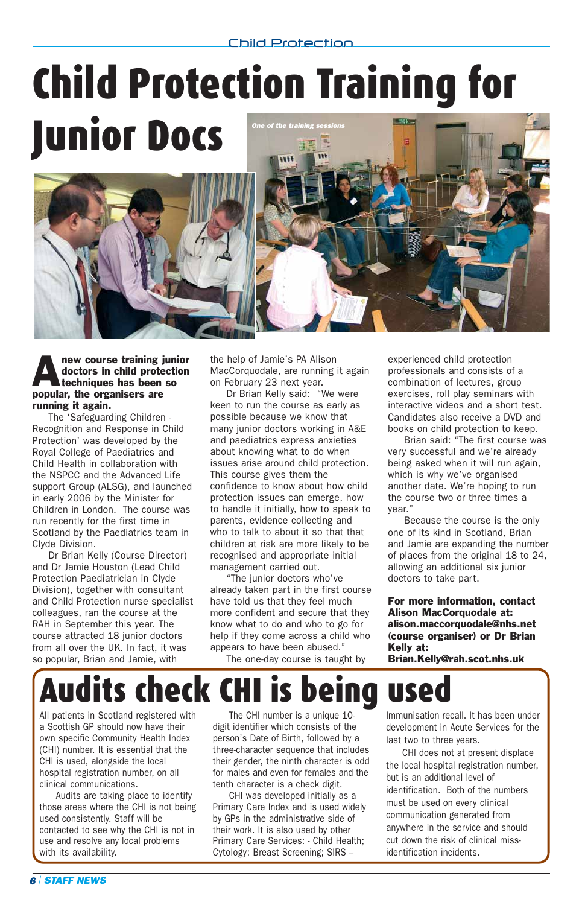### Child Protection Training for 543 Junior Docs *One of the training sessions*





The 'Safeguarding Children - Recognition and Response in Child Protection' was developed by the Royal College of Paediatrics and Child Health in collaboration with the NSPCC and the Advanced Life support Group (ALSG), and launched in early 2006 by the Minister for Children in London. The course was run recently for the first time in Scotland by the Paediatrics team in Clyde Division.

Dr Brian Kelly (Course Director) and Dr Jamie Houston (Lead Child Protection Paediatrician in Clyde Division), together with consultant and Child Protection nurse specialist colleagues, ran the course at the RAH in September this year. The course attracted 18 junior doctors from all over the UK. In fact, it was so popular, Brian and Jamie, with

the help of Jamie's PA Alison MacCorquodale, are running it again on February 23 next year.

Dr Brian Kelly said: "We were keen to run the course as early as possible because we know that many junior doctors working in A&E and paediatrics express anxieties about knowing what to do when issues arise around child protection. This course gives them the confidence to know about how child protection issues can emerge, how to handle it initially, how to speak to parents, evidence collecting and who to talk to about it so that that children at risk are more likely to be recognised and appropriate initial management carried out.

"The junior doctors who've already taken part in the first course have told us that they feel much more confident and secure that they know what to do and who to go for help if they come across a child who appears to have been abused."

The one-day course is taught by

experienced child protection professionals and consists of a combination of lectures, group exercises, roll play seminars with interactive videos and a short test. Candidates also receive a DVD and books on child protection to keep.

Brian said: "The first course was very successful and we're already being asked when it will run again, which is why we've organised another date. We're hoping to run the course two or three times a year."

Because the course is the only one of its kind in Scotland, Brian and Jamie are expanding the number of places from the original 18 to 24, allowing an additional six junior doctors to take part.

For more information, contact Alison MacCorquodale at: alison.maccorquodale@nhs.net (course organiser) or Dr Brian Kelly at:

Brian.Kelly@rah.scot.nhs.uk

### udits check CHI is being use

All patients in Scotland registered with a Scottish GP should now have their own specific Community Health Index (CHI) number. It is essential that the CHI is used, alongside the local hospital registration number, on all clinical communications.

Audits are taking place to identify those areas where the CHI is not being used consistently. Staff will be contacted to see why the CHI is not in use and resolve any local problems with its availability.

The CHI number is a unique 10 digit identifier which consists of the person's Date of Birth, followed by a three-character sequence that includes their gender, the ninth character is odd for males and even for females and the tenth character is a check digit.

CHI was developed initially as a Primary Care Index and is used widely by GPs in the administrative side of their work. It is also used by other Primary Care Services: - Child Health; Cytology; Breast Screening; SIRS –

Immunisation recall. It has been under development in Acute Services for the last two to three years.

CHI does not at present displace the local hospital registration number, but is an additional level of identification. Both of the numbers must be used on every clinical communication generated from anywhere in the service and should cut down the risk of clinical missidentification incidents.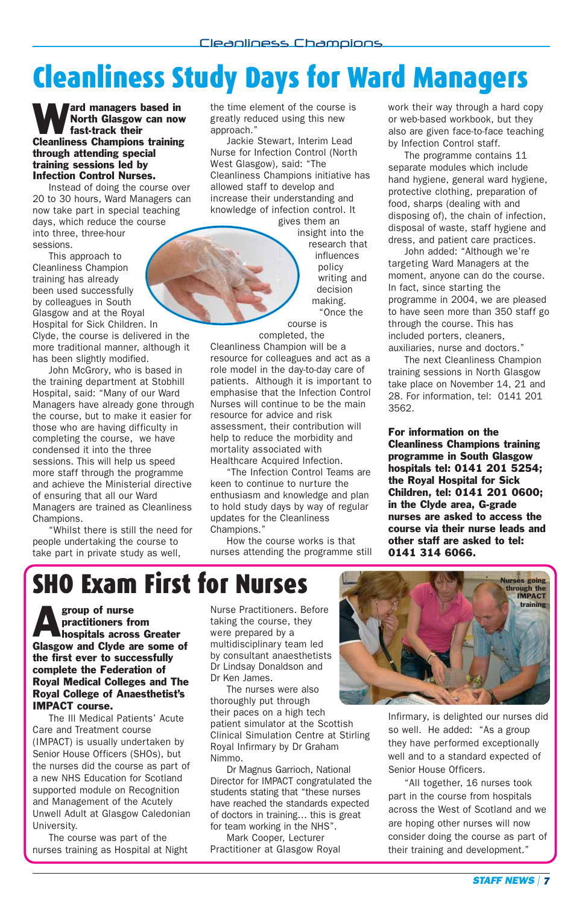### Cleanliness Study Days for Ward Managers

**Ward managers based in**<br>North Glasgow can now<br>fast-track their North Glasgow can now fast-track their Cleanliness Champions training through attending special training sessions led by Infection Control Nurses.

Instead of doing the course over 20 to 30 hours, Ward Managers can now take part in special teaching days, which reduce the course into three, three-hour sessions.

This approach to Cleanliness Champion training has already been used successfully by colleagues in South Glasgow and at the Royal Hospital for Sick Children. In Clyde, the course is delivered in the

more traditional manner, although it has been slightly modified. John McGrory, who is based in the training department at Stobhill

Hospital, said: "Many of our Ward Managers have already gone through the course, but to make it easier for those who are having difficulty in completing the course, we have condensed it into the three sessions. This will help us speed more staff through the programme and achieve the Ministerial directive of ensuring that all our Ward Managers are trained as Cleanliness Champions.

"Whilst there is still the need for people undertaking the course to take part in private study as well,

the time element of the course is greatly reduced using this new approach."

Jackie Stewart, Interim Lead Nurse for Infection Control (North West Glasgow), said: "The Cleanliness Champions initiative has allowed staff to develop and increase their understanding and knowledge of infection control. It

gives them an insight into the research that influences policy writing and decision making. "Once the

course is completed, the

Cleanliness Champion will be a resource for colleagues and act as a role model in the day-to-day care of patients. Although it is important to emphasise that the Infection Control Nurses will continue to be the main resource for advice and risk assessment, their contribution will help to reduce the morbidity and mortality associated with Healthcare Acquired Infection.

"The Infection Control Teams are keen to continue to nurture the enthusiasm and knowledge and plan to hold study days by way of regular updates for the Cleanliness Champions."

How the course works is that nurses attending the programme still work their way through a hard copy or web-based workbook, but they also are given face-to-face teaching by Infection Control staff.

The programme contains 11 separate modules which include hand hygiene, general ward hygiene, protective clothing, preparation of food, sharps (dealing with and disposing of), the chain of infection, disposal of waste, staff hygiene and dress, and patient care practices.

John added: "Although we're targeting Ward Managers at the moment, anyone can do the course. In fact, since starting the programme in 2004, we are pleased to have seen more than 350 staff go through the course. This has included porters, cleaners, auxiliaries, nurse and doctors."

The next Cleanliness Champion training sessions in North Glasgow take place on November 14, 21 and 28. For information, tel: 0141 201 3562.

For information on the Cleanliness Champions training programme in South Glasgow hospitals tel: 0141 201 5254; the Royal Hospital for Sick Children, tel: 0141 201 0600; in the Clyde area, G-grade nurses are asked to access the course via their nurse leads and other staff are asked to tel: 0141 314 6066.

### SHO Exam First for Nurses

group of nurse practitioners from hospitals across Greater Glasgow and Clyde are some of the first ever to successfully complete the Federation of Royal Medical Colleges and The Royal College of Anaesthetist's IMPACT course.

The Ill Medical Patients' Acute Care and Treatment course (IMPACT) is usually undertaken by Senior House Officers (SHOs), but the nurses did the course as part of a new NHS Education for Scotland supported module on Recognition and Management of the Acutely Unwell Adult at Glasgow Caledonian University.

The course was part of the nurses training as Hospital at Night Nurse Practitioners. Before taking the course, they were prepared by a multidisciplinary team led by consultant anaesthetists Dr Lindsay Donaldson and Dr Ken James.

The nurses were also thoroughly put through their paces on a high tech patient simulator at the Scottish Clinical Simulation Centre at Stirling Royal Infirmary by Dr Graham Nimmo.

Dr Magnus Garrioch, National Director for IMPACT congratulated the students stating that "these nurses have reached the standards expected of doctors in training… this is great for team working in the NHS".

Mark Cooper, Lecturer Practitioner at Glasgow Royal



Infirmary, is delighted our nurses did so well. He added: "As a group they have performed exceptionally well and to a standard expected of Senior House Officers.

"All together, 16 nurses took part in the course from hospitals across the West of Scotland and we are hoping other nurses will now consider doing the course as part of their training and development."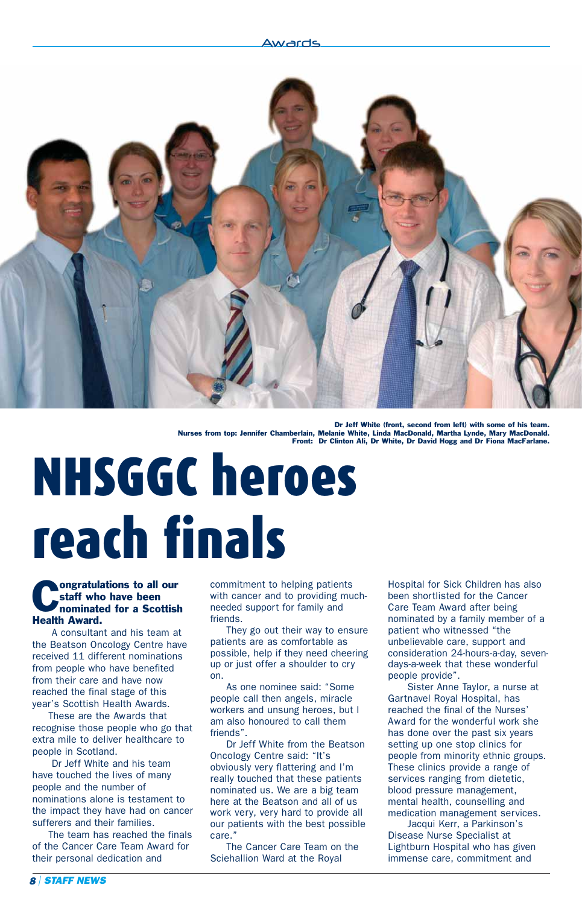#### Awards



Dr Jeff White (front, second from left) with some of his tea Nurses from top: Jennifer Chamberlain, Melanie White, Linda MacDonald, Martha Lynde, Mary MacDonald. Front: Dr Clinton Ali, Dr White, Dr David Hogg and Dr Fiona MacFarlane.

# NHSGGC heroes reach finals

### **Constant of the Scottish Contract Contract Scottish Contract Contract Contract Contract Contract Contract Contract Contract Contract Contract Contract Contract Contract Contract Contract Contract Contract Contract Contrac** staff who have been Health Award.

A consultant and his team at the Beatson Oncology Centre have received 11 different nominations from people who have benefited from their care and have now reached the final stage of this year's Scottish Health Awards.

These are the Awards that recognise those people who go that extra mile to deliver healthcare to people in Scotland.

Dr Jeff White and his team have touched the lives of many people and the number of nominations alone is testament to the impact they have had on cancer sufferers and their families.

The team has reached the finals of the Cancer Care Team Award for their personal dedication and

commitment to helping patients with cancer and to providing muchneeded support for family and friends.

They go out their way to ensure patients are as comfortable as possible, help if they need cheering up or just offer a shoulder to cry on.

As one nominee said: "Some people call then angels, miracle workers and unsung heroes, but I am also honoured to call them friends".

Dr Jeff White from the Beatson Oncology Centre said: "It's obviously very flattering and I'm really touched that these patients nominated us. We are a big team here at the Beatson and all of us work very, very hard to provide all our patients with the best possible care."

The Cancer Care Team on the Sciehallion Ward at the Royal

Hospital for Sick Children has also been shortlisted for the Cancer Care Team Award after being nominated by a family member of a patient who witnessed "the unbelievable care, support and consideration 24-hours-a-day, sevendays-a-week that these wonderful people provide".

Sister Anne Taylor, a nurse at Gartnavel Royal Hospital, has reached the final of the Nurses' Award for the wonderful work she has done over the past six years setting up one stop clinics for people from minority ethnic groups. These clinics provide a range of services ranging from dietetic, blood pressure management, mental health, counselling and medication management services.

Jacqui Kerr, a Parkinson's Disease Nurse Specialist at Lightburn Hospital who has given immense care, commitment and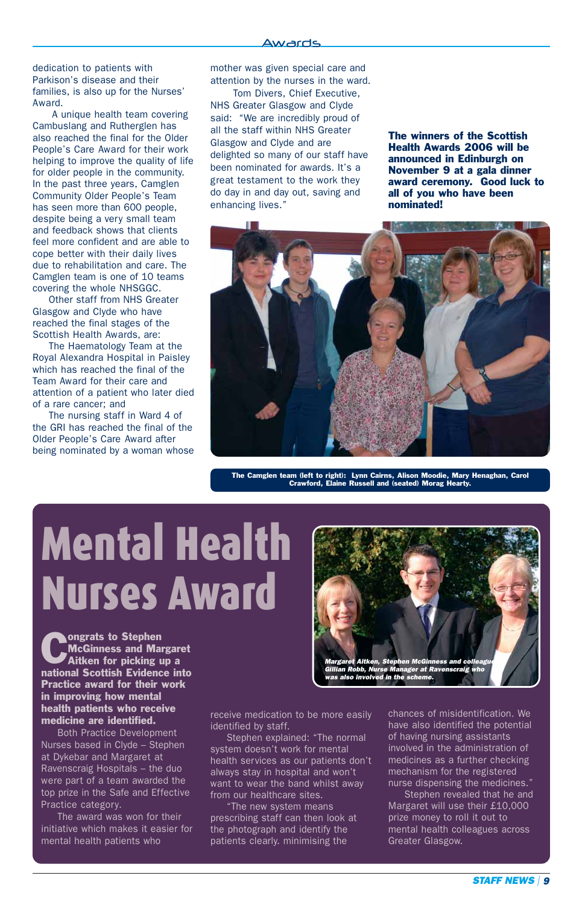dedication to patients with Parkison's disease and their families, is also up for the Nurses' Award.

A unique health team covering Cambuslang and Rutherglen has also reached the final for the Older People's Care Award for their work helping to improve the quality of life for older people in the community. In the past three years, Camglen Community Older People's Team has seen more than 600 people, despite being a very small team and feedback shows that clients feel more confident and are able to cope better with their daily lives due to rehabilitation and care. The Camglen team is one of 10 teams covering the whole NHSGGC.

Other staff from NHS Greater Glasgow and Clyde who have reached the final stages of the Scottish Health Awards, are:

The Haematology Team at the Royal Alexandra Hospital in Paisley which has reached the final of the Team Award for their care and attention of a patient who later died of a rare cancer; and

The nursing staff in Ward 4 of the GRI has reached the final of the Older People's Care Award after being nominated by a woman whose mother was given special care and attention by the nurses in the ward.

Tom Divers, Chief Executive, NHS Greater Glasgow and Clyde said: "We are incredibly proud of all the staff within NHS Greater Glasgow and Clyde and are delighted so many of our staff have been nominated for awards. It's a great testament to the work they do day in and day out, saving and enhancing lives."

The winners of the Scottish Health Awards 2006 will be announced in Edinburgh on November 9 at a gala dinner award ceremony. Good luck to all of you who have been nominated!



The Camglen team (left to right): Lynn Cairns, Alison Moodie, Mary Henaghan, Carol Crawford, Elaine Russell and (seated) Morag Hearty.

*Margaret Aitken, Stephen McGinness and colleague Gillian Robb, Nurse Manager at Ravenscraig who*

*was also involved in the scheme.*

# Mental Health Nurses Award

**Congrats to Stephen**<br>McGinness and Ma<br>Aitken for picking McGinness and Margaret Aitken for picking up a national Scottish Evidence into Practice award for their work in improving how mental health patients who receive medicine are identified.

Both Practice Development Nurses based in Clyde – Stephen at Dykebar and Margaret at Ravenscraig Hospitals – the duo were part of a team awarded the top prize in the Safe and Effective Practice category.

The award was won for their initiative which makes it easier for mental health patients who

receive medication to be more easily identified by staff.

Stephen explained: "The normal system doesn't work for mental health services as our patients don't always stay in hospital and won't want to wear the band whilst away from our healthcare sites.

The new system means prescribing staff can then look at the photograph and identify the patients clearly. minimising the

chances of misidentification. We have also identified the potential of having nursing assistants involved in the administration of medicines as a further checking mechanism for the registered nurse dispensing the medicines."

Stephen revealed that he and Margaret will use their £10,000 prize money to roll it out to mental health colleagues across Greater Glasgow.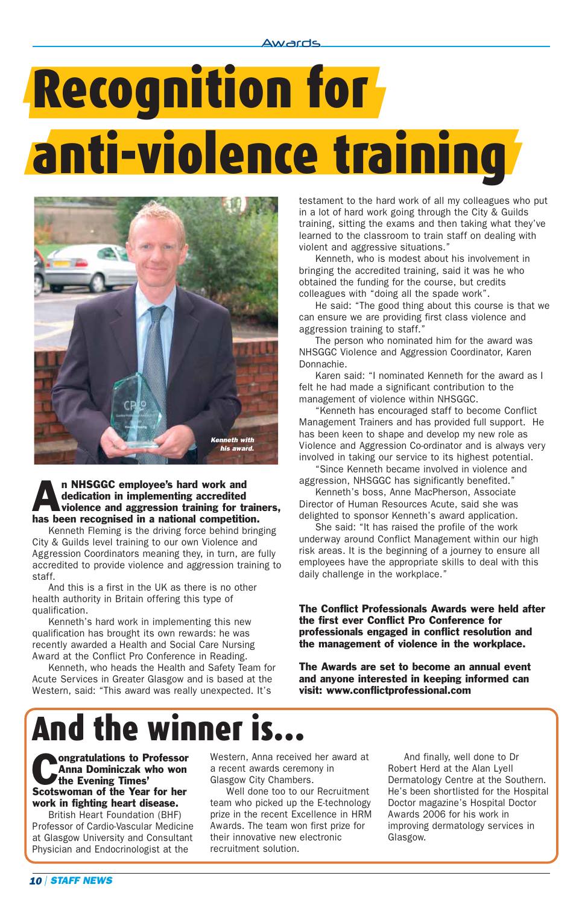Awards

# Recognition for anti-violence training



#### **An NHSGGC employee's hard work and dedication in implementing accredited violence and aggression training for training.** dedication in implementing accredited violence and aggression training for trainers, has been recognised in a national competition.

Kenneth Fleming is the driving force behind bringing City & Guilds level training to our own Violence and Aggression Coordinators meaning they, in turn, are fully accredited to provide violence and aggression training to staff.

And this is a first in the UK as there is no other health authority in Britain offering this type of qualification.

Kenneth's hard work in implementing this new qualification has brought its own rewards: he was recently awarded a Health and Social Care Nursing Award at the Conflict Pro Conference in Reading.

Kenneth, who heads the Health and Safety Team for Acute Services in Greater Glasgow and is based at the Western, said: "This award was really unexpected. It's

testament to the hard work of all my colleagues who put in a lot of hard work going through the City & Guilds training, sitting the exams and then taking what they've learned to the classroom to train staff on dealing with violent and aggressive situations."

Kenneth, who is modest about his involvement in bringing the accredited training, said it was he who obtained the funding for the course, but credits colleagues with "doing all the spade work".

He said: "The good thing about this course is that we can ensure we are providing first class violence and aggression training to staff."

The person who nominated him for the award was NHSGGC Violence and Aggression Coordinator, Karen Donnachie.

Karen said: "I nominated Kenneth for the award as I felt he had made a significant contribution to the management of violence within NHSGGC.

"Kenneth has encouraged staff to become Conflict Management Trainers and has provided full support. He has been keen to shape and develop my new role as Violence and Aggression Co-ordinator and is always very involved in taking our service to its highest potential.

"Since Kenneth became involved in violence and aggression, NHSGGC has significantly benefited."

Kenneth's boss, Anne MacPherson, Associate Director of Human Resources Acute, said she was delighted to sponsor Kenneth's award application.

She said: "It has raised the profile of the work underway around Conflict Management within our high risk areas. It is the beginning of a journey to ensure all employees have the appropriate skills to deal with this daily challenge in the workplace."

The Conflict Professionals Awards were held after the first ever Conflict Pro Conference for professionals engaged in conflict resolution and the management of violence in the workplace.

The Awards are set to become an annual event and anyone interested in keeping informed can visit: www.conflictprofessional.com

# And the winner is

**Congratulations to Professor**<br>Anna Dominiczak who won<br>the Evening Times' Anna Dominiczak who won the Evening Times' Scotswoman of the Year for her work in fighting heart disease.

British Heart Foundation (BHF) Professor of Cardio-Vascular Medicine at Glasgow University and Consultant Physician and Endocrinologist at the

Western, Anna received her award at a recent awards ceremony in Glasgow City Chambers.

Well done too to our Recruitment team who picked up the E-technology prize in the recent Excellence in HRM Awards. The team won first prize for their innovative new electronic recruitment solution.

And finally, well done to Dr Robert Herd at the Alan Lyell Dermatology Centre at the Southern. He's been shortlisted for the Hospital Doctor magazine's Hospital Doctor Awards 2006 for his work in improving dermatology services in Glasgow.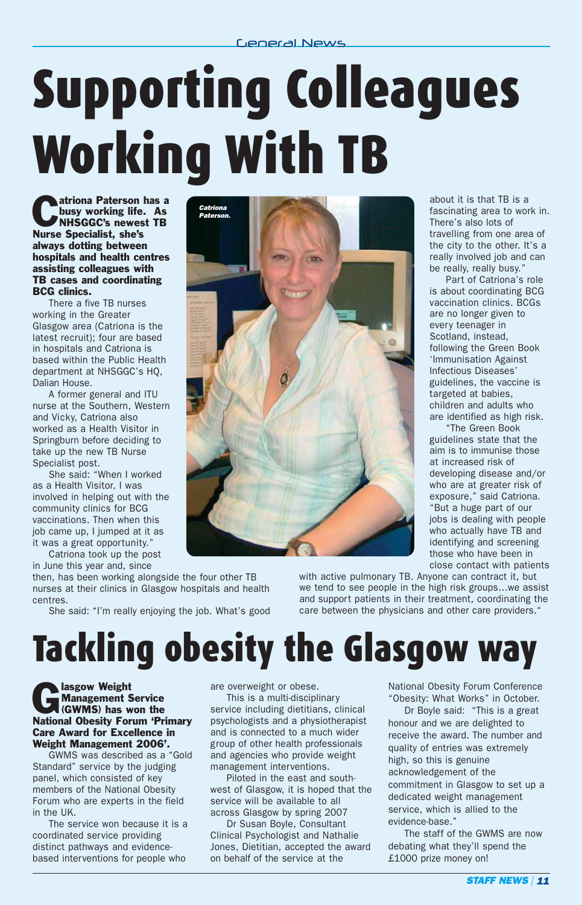# Supporting Colleagues Working With TB

**Catriona Paterson has a**<br>busy working life. As<br>NHSGGC's newest TB busy working life. As Nurse Specialist, she's always dotting between hospitals and health centres assisting colleagues with TB cases and coordinating BCG clinics.

There a five TB nurses working in the Greater Glasgow area (Catriona is the latest recruit); four are based in hospitals and Catriona is based within the Public Health department at NHSGGC's HQ, Dalian House.

A former general and ITU nurse at the Southern, Western and Vicky, Catriona also worked as a Health Visitor in Springburn before deciding to take up the new TB Nurse Specialist post.

She said: "When I worked as a Health Visitor, I was involved in helping out with the community clinics for BCG vaccinations. Then when this job came up, I jumped at it as it was a great opportunity."

Catriona took up the post in June this year and, since

then, has been working alongside the four other TB nurses at their clinics in Glasgow hospitals and health centres.

She said: "I'm really enjoying the job. What's good



about it is that TB is a fascinating area to work in. There's also lots of travelling from one area of the city to the other. It's a really involved job and can be really, really busy."

Part of Catriona's role is about coordinating BCG vaccination clinics. BCGs are no longer given to every teenager in Scotland, instead, following the Green Book 'Immunisation Against Infectious Diseases' guidelines, the vaccine is targeted at babies, children and adults who are identified as high risk.

"The Green Book guidelines state that the aim is to immunise those at increased risk of developing disease and/or who are at greater risk of exposure," said Catriona. "But a huge part of our jobs is dealing with people who actually have TB and identifying and screening those who have been in close contact with patients

with active pulmonary TB. Anyone can contract it, but we tend to see people in the high risk groups…we assist and support patients in their treatment, coordinating the care between the physicians and other care providers.

## Tackling obesity the Glasgow way

Blasgow Weight Management Service (GWMS) has won the National Obesity Forum 'Primary Care Award for Excellence in Weight Management 2006'.

GWMS was described as a "Gold Standard" service by the judging panel, which consisted of key members of the National Obesity Forum who are experts in the field in the UK.

The service won because it is a coordinated service providing distinct pathways and evidencebased interventions for people who

are overweight or obese.

This is a multi-disciplinary service including dietitians, clinical psychologists and a physiotherapist and is connected to a much wider group of other health professionals and agencies who provide weight management interventions.

Piloted in the east and southwest of Glasgow, it is hoped that the service will be available to all across Glasgow by spring 2007

Dr Susan Boyle, Consultant Clinical Psychologist and Nathalie Jones, Dietitian, accepted the award on behalf of the service at the

National Obesity Forum Conference "Obesity: What Works" in October.

Dr Boyle said: "This is a great honour and we are delighted to receive the award. The number and quality of entries was extremely high, so this is genuine acknowledgement of the commitment in Glasgow to set up a dedicated weight management service, which is allied to the evidence-base."

The staff of the GWMS are now debating what they'll spend the £1000 prize money on!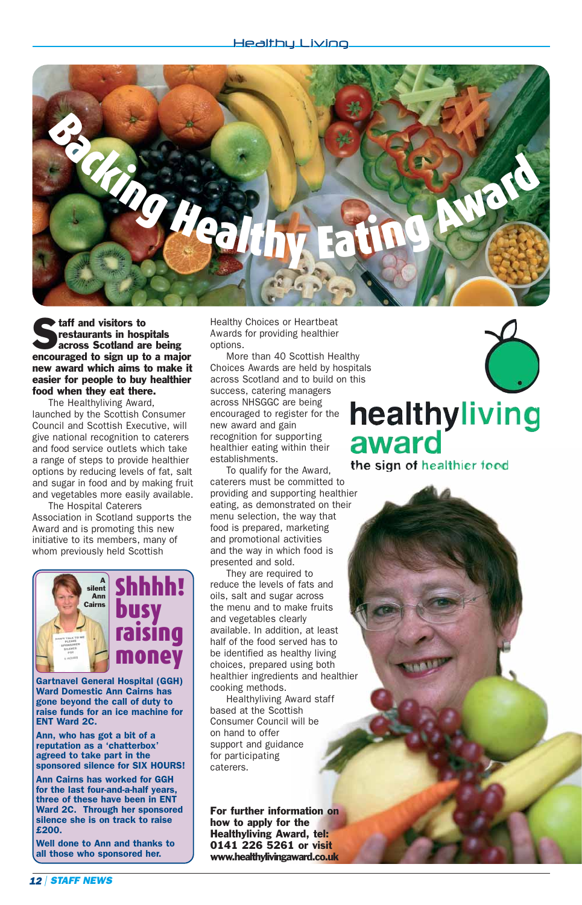

**Staff and visitors to**<br>**Across Scotland are being**<br>**Across Scotland are being** restaurants in hospitals encouraged to sign up to a major new award which aims to make it easier for people to buy healthier food when they eat there.

The Healthyliving Award, launched by the Scottish Consumer Council and Scottish Executive, will give national recognition to caterers and food service outlets which take a range of steps to provide healthier options by reducing levels of fat, salt and sugar in food and by making fruit and vegetables more easily available.

The Hospital Caterers Association in Scotland supports the Award and is promoting this new initiative to its members, many of whom previously held Scottish



Gartnavel General Hospital (GGH) Ward Domestic Ann Cairns has gone beyond the call of duty to raise funds for an ice machine for ENT Ward 2C.

Ann, who has got a bit of a reputation as a 'chatterbox' agreed to take part in the sponsored silence for SIX HOURS!

Ann Cairns has worked for GGH for the last four-and-a-half years, three of these have been in ENT Ward 2C. Through her sponsored silence she is on track to raise £200.

Well done to Ann and thanks to all those who sponsored her.

Healthy Choices or Heartbeat Awards for providing healthier options.

More than 40 Scottish Healthy Choices Awards are held by hospitals across Scotland and to build on this success, catering managers across NHSGGC are being encouraged to register for the new award and gain recognition for supporting healthier eating within their establishments.

To qualify for the Award, caterers must be committed to providing and supporting healthier eating, as demonstrated on their menu selection, the way that food is prepared, marketing and promotional activities and the way in which food is presented and sold.

They are required to reduce the levels of fats and oils, salt and sugar across the menu and to make fruits and vegetables clearly available. In addition, at least half of the food served has to be identified as healthy living choices, prepared using both healthier ingredients and healthier cooking methods.

Healthyliving Award staff based at the Scottish Consumer Council will be on hand to offer support and guidance for participating caterers.

For further information on how to apply for the Healthyliving Award, tel: 0141 226 5261 or visit www.healthylivingaward.co.uk

### healthyliving award

the sign of healthier food

*12 | STAFF NEWS*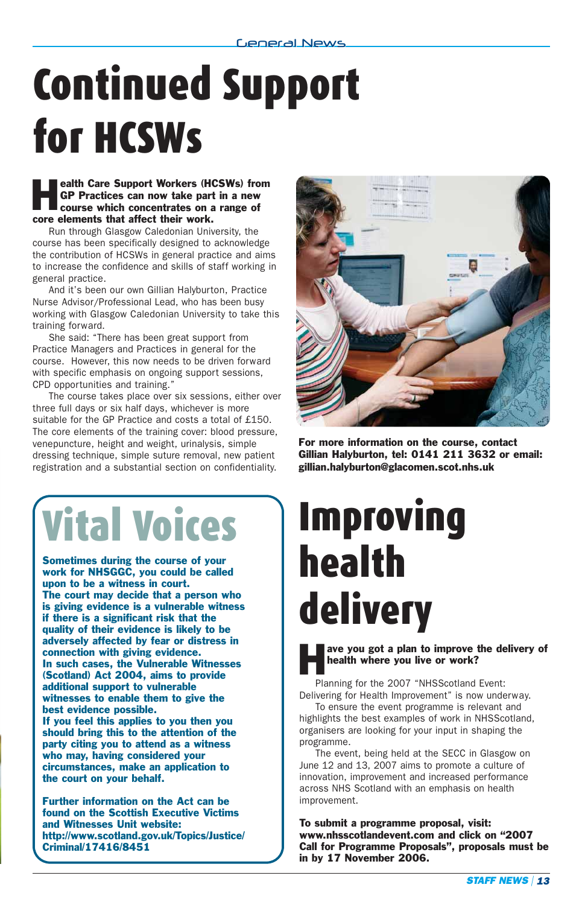# Continued Support for HCSWs

**Health Care Support Workers (HCSWs) from GP Practices can now take part in a new course which concentrates on a range of** GP Practices can now take part in a new course which concentrates on a range of core elements that affect their work.

Run through Glasgow Caledonian University, the course has been specifically designed to acknowledge the contribution of HCSWs in general practice and aims to increase the confidence and skills of staff working in general practice.

And it's been our own Gillian Halyburton, Practice Nurse Advisor/Professional Lead, who has been busy working with Glasgow Caledonian University to take this training forward.

She said: "There has been great support from Practice Managers and Practices in general for the course. However, this now needs to be driven forward with specific emphasis on ongoing support sessions, CPD opportunities and training."

The course takes place over six sessions, either over three full days or six half days, whichever is more suitable for the GP Practice and costs a total of £150. The core elements of the training cover: blood pressure, venepuncture, height and weight, urinalysis, simple dressing technique, simple suture removal, new patient registration and a substantial section on confidentiality.



For more information on the course, contact Gillian Halyburton, tel: 0141 211 3632 or email: gillian.halyburton@glacomen.scot.nhs.uk

# Vital Voices

Sometimes during the course of your work for NHSGGC, you could be called upon to be a witness in court. The court may decide that a person who is giving evidence is a vulnerable witness if there is a significant risk that the quality of their evidence is likely to be adversely affected by fear or distress in connection with giving evidence. In such cases, the Vulnerable Witnesses (Scotland) Act 2004, aims to provide additional support to vulnerable witnesses to enable them to give the best evidence possible. If you feel this applies to you then you should bring this to the attention of the party citing you to attend as a witness who may, having considered your

circumstances, make an application to the court on your behalf.

Further information on the Act can be found on the Scottish Executive Victims and Witnesses Unit website: http://www.scotland.gov.uk/Topics/Justice/ Criminal/17416/8451

# Improving health delivery

ave you got a plan to improve the delivery of health where you live or work?

Planning for the 2007 "NHSScotland Event: Delivering for Health Improvement" is now underway.

To ensure the event programme is relevant and highlights the best examples of work in NHSScotland, organisers are looking for your input in shaping the programme.

The event, being held at the SECC in Glasgow on June 12 and 13, 2007 aims to promote a culture of innovation, improvement and increased performance across NHS Scotland with an emphasis on health improvement.

To submit a programme proposal, visit: www.nhsscotlandevent.com and click on "2007 Call for Programme Proposals", proposals must be in by 17 November 2006.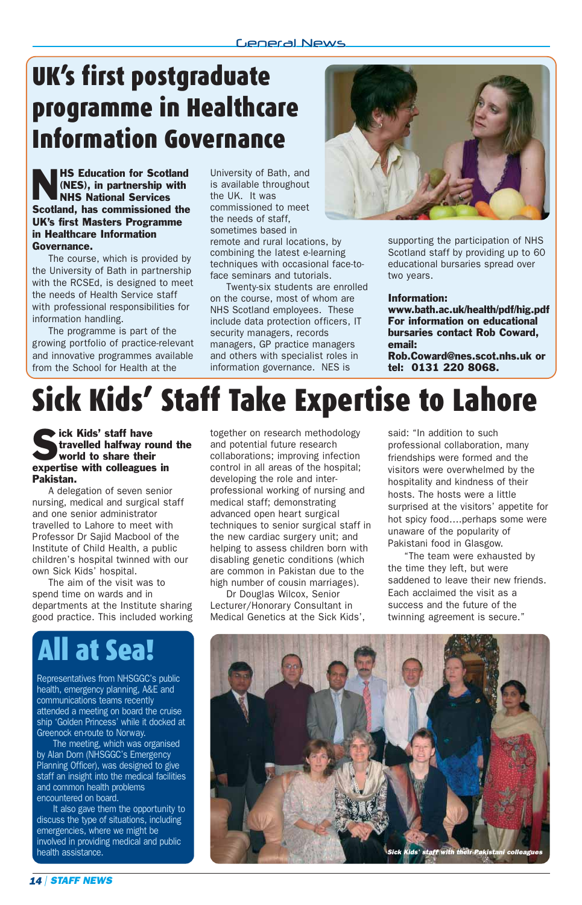### UK's first postgraduate programme in Healthcare Information Governance

**NHS Education for Scotland (NES), in partnership with NHS National Services** (NES), in partnership with NHS National Services Scotland, has commissioned the UK's first Masters Programme in Healthcare Information Governance.

The course, which is provided by the University of Bath in partnership with the RCSEd, is designed to meet the needs of Health Service staff with professional responsibilities for information handling.

The programme is part of the growing portfolio of practice-relevant and innovative programmes available from the School for Health at the

University of Bath, and is available throughout the UK. It was commissioned to meet the needs of staff, sometimes based in remote and rural locations, by combining the latest e-learning techniques with occasional face-toface seminars and tutorials.

Twenty-six students are enrolled on the course, most of whom are NHS Scotland employees. These include data protection officers, IT security managers, records managers, GP practice managers and others with specialist roles in information governance. NES is



supporting the participation of NHS Scotland staff by providing up to 60 educational bursaries spread over two years.

#### Information:

www.bath.ac.uk/health/pdf/hig.pdf For information on educational bursaries contact Rob Coward, email: Rob.Coward@nes.scot.nhs.uk or tel: 0131 220 8068.

### Sick Kids' Staff Take Expertise to Lahore

#### Sick Kids' staff have<br>travelled halfway re<br>world to share their travelled halfway round the world to share their expertise with colleagues in Pakistan.

A delegation of seven senior nursing, medical and surgical staff and one senior administrator travelled to Lahore to meet with Professor Dr Sajid Macbool of the Institute of Child Health, a public children's hospital twinned with our own Sick Kids' hospital.

The aim of the visit was to spend time on wards and in departments at the Institute sharing good practice. This included working

### All at Sea!

Representatives from NHSGGC's public health, emergency planning, A&E and communications teams recently attended a meeting on board the cruise ship 'Golden Princess' while it docked at Greenock en-route to Norway.

The meeting, which was organised by Alan Dorn (NHSGGC's Emergency Planning Officer), was designed to give staff an insight into the medical facilities and common health problems encountered on board.

It also gave them the opportunity to discuss the type of situations, including emergencies, where we might be involved in providing medical and public health assistance.

together on research methodology and potential future research collaborations; improving infection control in all areas of the hospital; developing the role and interprofessional working of nursing and medical staff; demonstrating advanced open heart surgical techniques to senior surgical staff in the new cardiac surgery unit; and helping to assess children born with disabling genetic conditions (which are common in Pakistan due to the high number of cousin marriages).

Dr Douglas Wilcox, Senior Lecturer/Honorary Consultant in Medical Genetics at the Sick Kids', said: "In addition to such professional collaboration, many friendships were formed and the visitors were overwhelmed by the hospitality and kindness of their hosts. The hosts were a little surprised at the visitors' appetite for hot spicy food….perhaps some were unaware of the popularity of Pakistani food in Glasgow.

"The team were exhausted by the time they left, but were saddened to leave their new friends. Each acclaimed the visit as a success and the future of the twinning agreement is secure."

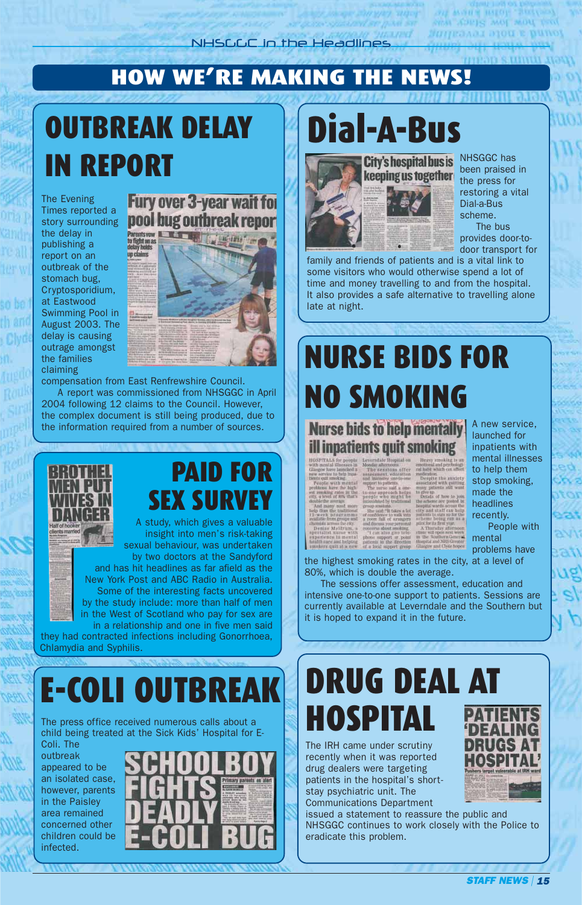### HOW WE'RE MAKING THE NEWS!

## OUTBREAK DELAY IN REPORT

The Evening Times reported a the delay in publishing a report on an outbreak of the stomach bug, Cryptosporidium, at Eastwood Swimming Pool in August 2003. The delay is causing outrage amongst the families claiming



compensation from East Renfrewshire Council. A report was commissioned from NHSGGC in April 2004 following 12 claims to the Council. However, the complex document is still being produced, due to the information required from a number of sources.



by two doctors at the Sandyford and has hit headlines as far afield as the New York Post and ABC Radio in Australia. Some of the interesting facts uncovered by the study include: more than half of men in the West of Scotland who pay for sex are in a relationship and one in five men said

they had contracted infections including Gonorrhoea, Chlamydia and Syphilis.

## E-COLI OUTBREAK DRUG DEAL AT

The press office received numerous calls about a child being treated at the Sick Kids' Hospital for E-

Coli. The outbreak appeared to be an isolated case, however, parents in the Paisley area remained concerned other children could be infected.



# Dial-A-Bus



City's hospital bus is NHSGGC has been praised in the press for restoring a vital Dial-a-Bus scheme. The bus provides door-todoor transport for

family and friends of patients and is a vital link to some visitors who would otherwise spend a lot of time and money travelling to and from the hospital. It also provides a safe alternative to travelling alone late at night.

## NURSE BIDS FOR NO SMOKING

### **Nurse bids to help mentally ill inpatients quit smoking**

does a fait

A new service, launched for inpatients with mental illnesses to help them stop smoking, made the headlines recently.

People with mental problems have

the highest smoking rates in the city, at a level of 80%, which is double the average.

The sessions offer assessment, education and intensive one-to-one support to patients. Sessions are currently available at Leverndale and the Southern but it is hoped to expand it in the future.

# HOSPITAL

The IRH came under scrutiny recently when it was reported drug dealers were targeting patients in the hospital's shortstay psychiatric unit. The Communications Department

issued a statement to reassure the public and NHSGGC continues to work closely with the Police to eradicate this problem.